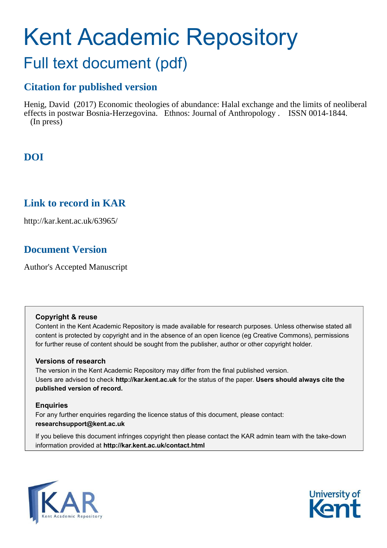# Kent Academic Repository Full text document (pdf)

# **Citation for published version**

Henig, David (2017) Economic theologies of abundance: Halal exchange and the limits of neoliberal effects in postwar Bosnia-Herzegovina. Ethnos: Journal of Anthropology . ISSN 0014-1844. (In press)

# **DOI**

# **Link to record in KAR**

http://kar.kent.ac.uk/63965/

# **Document Version**

Author's Accepted Manuscript

# **Copyright & reuse**

Content in the Kent Academic Repository is made available for research purposes. Unless otherwise stated all content is protected by copyright and in the absence of an open licence (eg Creative Commons), permissions for further reuse of content should be sought from the publisher, author or other copyright holder.

# **Versions of research**

The version in the Kent Academic Repository may differ from the final published version. Users are advised to check **http://kar.kent.ac.uk** for the status of the paper. **Users should always cite the published version of record.**

# **Enquiries**

For any further enquiries regarding the licence status of this document, please contact: **researchsupport@kent.ac.uk**

If you believe this document infringes copyright then please contact the KAR admin team with the take-down information provided at **http://kar.kent.ac.uk/contact.html**



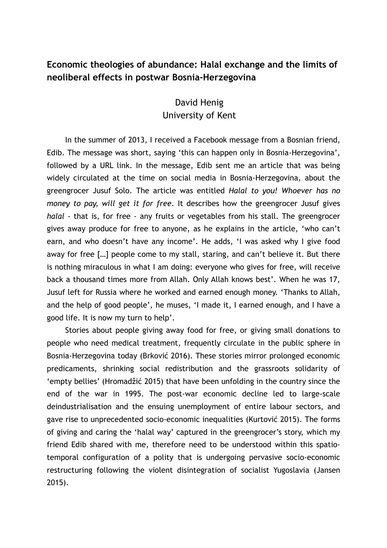# **Economic theologies of abundance: Halal exchange and the limits of neoliberal effects in postwar Bosnia-Herzegovina**

# David Henig University of Kent

In the summer of 2013, I received a Facebook message from a Bosnian friend, Edib. The message was short, saying 'this can happen only in Bosnia-Herzegovina', followed by a URL link. In the message, Edib sent me an article that was being widely circulated at the time on social media in Bosnia-Herzegovina, about the greengrocer Jusuf Solo. The article was entitled *Halal to you! Whoever has no money to pay, will get it for free*. It describes how the greengrocer Jusuf gives *halal -* that is, for free - any fruits or vegetables from his stall. The greengrocer gives away produce for free to anyone, as he explains in the article, 'who can't earn, and who doesn't have any income'. He adds, 'I was asked why I give food away for free […] people come to my stall, staring, and can't believe it. But there is nothing miraculous in what I am doing: everyone who gives for free, will receive back a thousand times more from Allah. Only Allah knows best'. When he was 17, Jusuf left for Russia where he worked and earned enough money. 'Thanks to Allah, and the help of good people', he muses, 'I made it, I earned enough, and I have a good life. It is now my turn to help'.

Stories about people giving away food for free, or giving small donations to people who need medical treatment, frequently circulate in the public sphere in Bosnia-Herzegovina today (Brković 2016). These stories mirror prolonged economic predicaments, shrinking social redistribution and the grassroots solidarity of 'empty bellies' (Hromadžić 2015) that have been unfolding in the country since the end of the war in 1995. The post-war economic decline led to large-scale deindustrialisation and the ensuing unemployment of entire labour sectors, and gave rise to unprecedented socio-economic inequalities (Kurtović 2015). The forms of giving and caring the 'halal way' captured in the greengrocer's story, which my friend Edib shared with me, therefore need to be understood within this spatiotemporal configuration of a polity that is undergoing pervasive socio-economic restructuring following the violent disintegration of socialist Yugoslavia (Jansen 2015).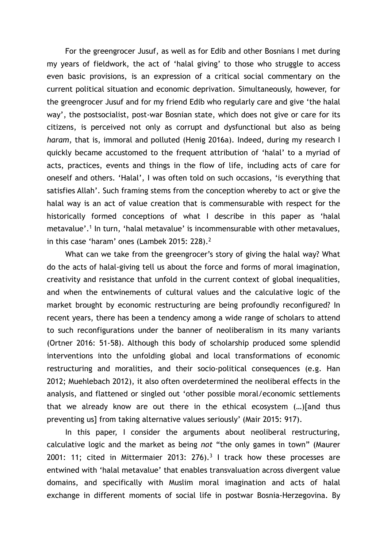For the greengrocer Jusuf, as well as for Edib and other Bosnians I met during my years of fieldwork, the act of 'halal giving' to those who struggle to access even basic provisions, is an expression of a critical social commentary on the current political situation and economic deprivation. Simultaneously, however, for the greengrocer Jusuf and for my friend Edib who regularly care and give 'the halal way', the postsocialist, post-war Bosnian state, which does not give or care for its citizens, is perceived not only as corrupt and dysfunctional but also as being *haram*, that is, immoral and polluted (Henig 2016a). Indeed, during my research I quickly became accustomed to the frequent attribution of 'halal' to a myriad of acts, practices, events and things in the flow of life, including acts of care for oneself and others. 'Halal', I was often told on such occasions, 'is everything that satisfies Allah'. Such framing stems from the conception whereby to act or give the halal way is an act of value creation that is commensurable with respect for the historically formed conceptions of what I describe in this paper as 'halal metavalue'.<sup>1</sup> In turn, 'halal metavalue' is incommensurable with other metavalues, in this case 'haram' ones (Lambek 2015: 228).<sup>2</sup>

What can we take from the greengrocer's story of giving the halal way? What do the acts of halal-giving tell us about the force and forms of moral imagination, creativity and resistance that unfold in the current context of global inequalities, and when the entwinements of cultural values and the calculative logic of the market brought by economic restructuring are being profoundly reconfigured? In recent years, there has been a tendency among a wide range of scholars to attend to such reconfigurations under the banner of neoliberalism in its many variants (Ortner 2016: 51-58). Although this body of scholarship produced some splendid interventions into the unfolding global and local transformations of economic restructuring and moralities, and their socio-political consequences (e.g. Han 2012; Muehlebach 2012), it also often overdetermined the neoliberal effects in the analysis, and flattened or singled out 'other possible moral/economic settlements that we already know are out there in the ethical ecosystem (…)[and thus preventing us] from taking alternative values seriously' (Mair 2015: 917).

In this paper, I consider the arguments about neoliberal restructuring, calculative logic and the market as being *not* "the only games in town" (Maurer 2001: 11; cited in Mittermaier 2013: 276).<sup>3</sup> I track how these processes are entwined with 'halal metavalue' that enables transvaluation across divergent value domains, and specifically with Muslim moral imagination and acts of halal exchange in different moments of social life in postwar Bosnia-Herzegovina. By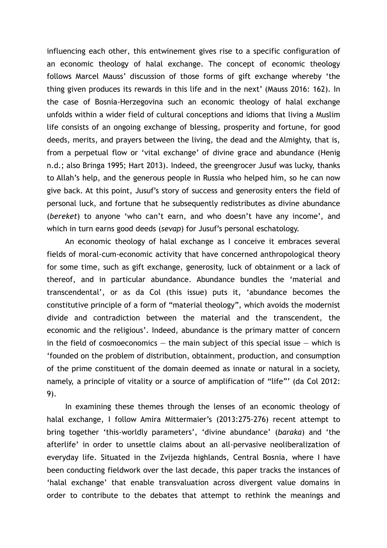influencing each other, this entwinement gives rise to a specific configuration of an economic theology of halal exchange. The concept of economic theology follows Marcel Mauss' discussion of those forms of gift exchange whereby 'the thing given produces its rewards in this life and in the next' (Mauss 2016: 162). In the case of Bosnia-Herzegovina such an economic theology of halal exchange unfolds within a wider field of cultural conceptions and idioms that living a Muslim life consists of an ongoing exchange of blessing, prosperity and fortune, for good deeds, merits, and prayers between the living, the dead and the Almighty, that is, from a perpetual flow or 'vital exchange' of divine grace and abundance (Henig n.d.; also Bringa 1995; Hart 2013). Indeed, the greengrocer Jusuf was lucky, thanks to Allah's help, and the generous people in Russia who helped him, so he can now give back. At this point, Jusuf's story of success and generosity enters the field of personal luck, and fortune that he subsequently redistributes as divine abundance (*bereket*) to anyone 'who can't earn, and who doesn't have any income', and which in turn earns good deeds (*sevap*) for Jusuf's personal eschatology.

An economic theology of halal exchange as I conceive it embraces several fields of moral-cum-economic activity that have concerned anthropological theory for some time, such as gift exchange, generosity, luck of obtainment or a lack of thereof, and in particular abundance. Abundance bundles the 'material and transcendental', or as da Col (this issue) puts it, 'abundance becomes the constitutive principle of a form of "material theology", which avoids the modernist divide and contradiction between the material and the transcendent, the economic and the religious'. Indeed, abundance is the primary matter of concern in the field of cosmoeconomics  $-$  the main subject of this special issue  $-$  which is 'founded on the problem of distribution, obtainment, production, and consumption of the prime constituent of the domain deemed as innate or natural in a society, namely, a principle of vitality or a source of amplification of "life"' (da Col 2012: 9).

In examining these themes through the lenses of an economic theology of halal exchange, I follow Amira Mittermaier's (2013:275-276) recent attempt to bring together 'this-worldly parameters', 'divine abundance' (*baraka*) and 'the afterlife' in order to unsettle claims about an all-pervasive neoliberalization of everyday life. Situated in the Zvijezda highlands, Central Bosnia, where I have been conducting fieldwork over the last decade, this paper tracks the instances of 'halal exchange' that enable transvaluation across divergent value domains in order to contribute to the debates that attempt to rethink the meanings and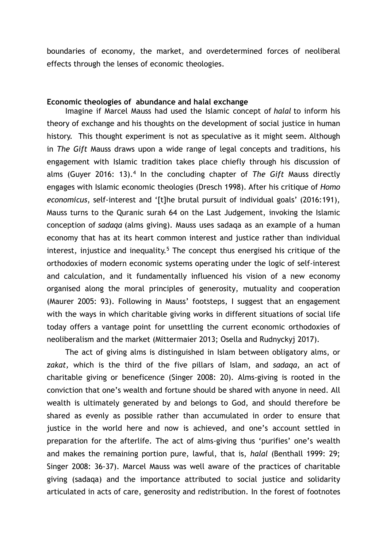boundaries of economy, the market, and overdetermined forces of neoliberal effects through the lenses of economic theologies.

#### **Economic theologies of abundance and halal exchange**

Imagine if Marcel Mauss had used the Islamic concept of *halal* to inform his theory of exchange and his thoughts on the development of social justice in human history. This thought experiment is not as speculative as it might seem. Although in *The Gift* Mauss draws upon a wide range of legal concepts and traditions, his engagement with Islamic tradition takes place chiefly through his discussion of alms (Guyer 2016: 13).<sup>4</sup> In the concluding chapter of *The Gift M*auss directly engages with Islamic economic theologies (Dresch 1998). After his critique of *Homo economicus*, self-interest and '[t]he brutal pursuit of individual goals' (2016:191), Mauss turns to the Quranic surah 64 on the Last Judgement, invoking the Islamic conception of *sadaqa* (alms giving). Mauss uses sadaqa as an example of a human economy that has at its heart common interest and justice rather than individual interest, injustice and inequality.<sup>5</sup> The concept thus energised his critique of the orthodoxies of modern economic systems operating under the logic of self-interest and calculation, and it fundamentally influenced his vision of a new economy organised along the moral principles of generosity, mutuality and cooperation (Maurer 2005: 93). Following in Mauss' footsteps, I suggest that an engagement with the ways in which charitable giving works in different situations of social life today offers a vantage point for unsettling the current economic orthodoxies of neoliberalism and the market (Mittermaier 2013; Osella and Rudnyckyj 2017).

The act of giving alms is distinguished in Islam between obligatory alms, or *zakat,* which is the third of the five pillars of Islam, and *sadaqa,* an act of charitable giving or beneficence (Singer 2008: 20)*.* Alms-giving is rooted in the conviction that one's wealth and fortune should be shared with anyone in need. All wealth is ultimately generated by and belongs to God, and should therefore be shared as evenly as possible rather than accumulated in order to ensure that justice in the world here and now is achieved, and one's account settled in preparation for the afterlife. The act of alms-giving thus 'purifies' one's wealth and makes the remaining portion pure, lawful, that is, *halal* (Benthall 1999: 29; Singer 2008: 36-37). Marcel Mauss was well aware of the practices of charitable giving (sadaqa) and the importance attributed to social justice and solidarity articulated in acts of care, generosity and redistribution. In the forest of footnotes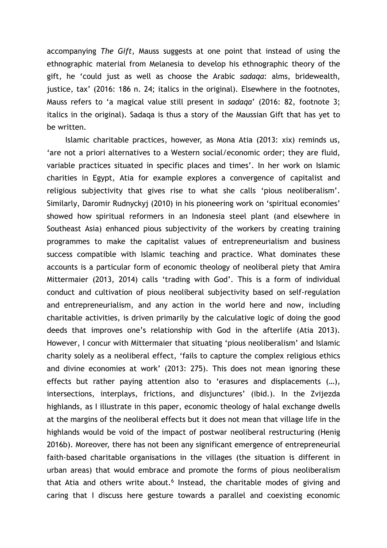accompanying *The Gift*, Mauss suggests at one point that instead of using the ethnographic material from Melanesia to develop his ethnographic theory of the gift, he 'could just as well as choose the Arabic *sadaqa*: alms, bridewealth, justice, tax' (2016: 186 n. 24; italics in the original). Elsewhere in the footnotes, Mauss refers to 'a magical value still present in *sadaqa*' (2016: 82, footnote 3; italics in the original). Sadaqa is thus a story of the Maussian Gift that has yet to be written.

Islamic charitable practices, however, as Mona Atia (2013: xix) reminds us, 'are not a priori alternatives to a Western social/economic order; they are fluid, variable practices situated in specific places and times'. In her work on Islamic charities in Egypt, Atia for example explores a convergence of capitalist and religious subjectivity that gives rise to what she calls 'pious neoliberalism'. Similarly, Daromir Rudnyckyj (2010) in his pioneering work on 'spiritual economies' showed how spiritual reformers in an Indonesia steel plant (and elsewhere in Southeast Asia) enhanced pious subjectivity of the workers by creating training programmes to make the capitalist values of entrepreneurialism and business success compatible with Islamic teaching and practice. What dominates these accounts is a particular form of economic theology of neoliberal piety that Amira Mittermaier (2013, 2014) calls 'trading with God'. This is a form of individual conduct and cultivation of pious neoliberal subjectivity based on self-regulation and entrepreneurialism, and any action in the world here and now, including charitable activities, is driven primarily by the calculative logic of doing the good deeds that improves one's relationship with God in the afterlife (Atia 2013). However, I concur with Mittermaier that situating 'pious neoliberalism' and Islamic charity solely as a neoliberal effect, 'fails to capture the complex religious ethics and divine economies at work' (2013: 275). This does not mean ignoring these effects but rather paying attention also to 'erasures and displacements (…), intersections, interplays, frictions, and disjunctures' (ibid.). In the Zvijezda highlands, as I illustrate in this paper, economic theology of halal exchange dwells at the margins of the neoliberal effects but it does not mean that village life in the highlands would be void of the impact of postwar neoliberal restructuring (Henig 2016b). Moreover, there has not been any significant emergence of entrepreneurial faith-based charitable organisations in the villages (the situation is different in urban areas) that would embrace and promote the forms of pious neoliberalism that Atia and others write about.<sup>6</sup> Instead, the charitable modes of giving and caring that I discuss here gesture towards a parallel and coexisting economic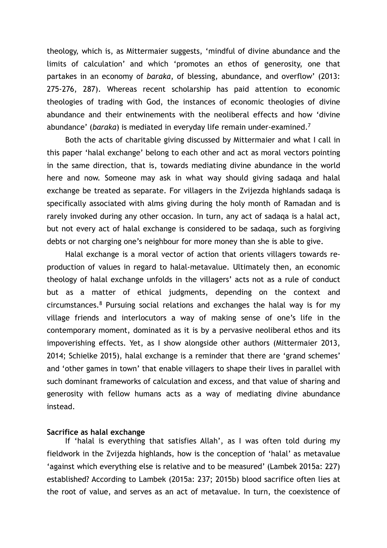theology, which is, as Mittermaier suggests, 'mindful of divine abundance and the limits of calculation' and which 'promotes an ethos of generosity, one that partakes in an economy of *baraka*, of blessing, abundance, and overflow' (2013: 275-276, 287). Whereas recent scholarship has paid attention to economic theologies of trading with God, the instances of economic theologies of divine abundance and their entwinements with the neoliberal effects and how 'divine abundance' (*baraka*) is mediated in everyday life remain under-examined.<sup>7</sup>

Both the acts of charitable giving discussed by Mittermaier and what I call in this paper 'halal exchange' belong to each other and act as moral vectors pointing in the same direction, that is, towards mediating divine abundance in the world here and now. Someone may ask in what way should giving sadaqa and halal exchange be treated as separate. For villagers in the Zvijezda highlands sadaqa is specifically associated with alms giving during the holy month of Ramadan and is rarely invoked during any other occasion. In turn, any act of sadaqa is a halal act, but not every act of halal exchange is considered to be sadaqa, such as forgiving debts or not charging one's neighbour for more money than she is able to give.

Halal exchange is a moral vector of action that orients villagers towards reproduction of values in regard to halal-metavalue. Ultimately then, an economic theology of halal exchange unfolds in the villagers' acts not as a rule of conduct but as a matter of ethical judgments, depending on the context and circumstances.<sup>8</sup> Pursuing social relations and exchanges the halal way is for my village friends and interlocutors a way of making sense of one's life in the contemporary moment, dominated as it is by a pervasive neoliberal ethos and its impoverishing effects. Yet, as I show alongside other authors (Mittermaier 2013, 2014; Schielke 2015), halal exchange is a reminder that there are 'grand schemes' and 'other games in town' that enable villagers to shape their lives in parallel with such dominant frameworks of calculation and excess, and that value of sharing and generosity with fellow humans acts as a way of mediating divine abundance instead.

#### **Sacrifice as halal exchange**

If 'halal is everything that satisfies Allah', as I was often told during my fieldwork in the Zvijezda highlands, how is the conception of 'halal' as metavalue 'against which everything else is relative and to be measured' (Lambek 2015a: 227) established? According to Lambek (2015a: 237; 2015b) blood sacrifice often lies at the root of value, and serves as an act of metavalue. In turn, the coexistence of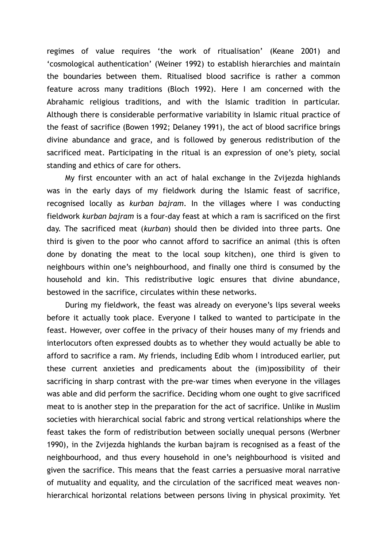regimes of value requires 'the work of ritualisation' (Keane 2001) and 'cosmological authentication' (Weiner 1992) to establish hierarchies and maintain the boundaries between them. Ritualised blood sacrifice is rather a common feature across many traditions (Bloch 1992). Here I am concerned with the Abrahamic religious traditions, and with the Islamic tradition in particular. Although there is considerable performative variability in Islamic ritual practice of the feast of sacrifice (Bowen 1992; Delaney 1991), the act of blood sacrifice brings divine abundance and grace, and is followed by generous redistribution of the sacrificed meat. Participating in the ritual is an expression of one's piety, social standing and ethics of care for others.

My first encounter with an act of halal exchange in the Zvijezda highlands was in the early days of my fieldwork during the Islamic feast of sacrifice, recognised locally as *kurban bajram*. In the villages where I was conducting fieldwork *kurban bajram* is a four-day feast at which a ram is sacrificed on the first day. The sacrificed meat (*kurban*) should then be divided into three parts. One third is given to the poor who cannot afford to sacrifice an animal (this is often done by donating the meat to the local soup kitchen), one third is given to neighbours within one's neighbourhood, and finally one third is consumed by the household and kin. This redistributive logic ensures that divine abundance, bestowed in the sacrifice, circulates within these networks.

During my fieldwork, the feast was already on everyone's lips several weeks before it actually took place. Everyone I talked to wanted to participate in the feast. However, over coffee in the privacy of their houses many of my friends and interlocutors often expressed doubts as to whether they would actually be able to afford to sacrifice a ram. My friends, including Edib whom I introduced earlier, put these current anxieties and predicaments about the (im)possibility of their sacrificing in sharp contrast with the pre-war times when everyone in the villages was able and did perform the sacrifice. Deciding whom one ought to give sacrificed meat to is another step in the preparation for the act of sacrifice. Unlike in Muslim societies with hierarchical social fabric and strong vertical relationships where the feast takes the form of redistribution between socially unequal persons (Werbner 1990), in the Zvijezda highlands the kurban bajram is recognised as a feast of the neighbourhood, and thus every household in one's neighbourhood is visited and given the sacrifice. This means that the feast carries a persuasive moral narrative of mutuality and equality, and the circulation of the sacrificed meat weaves nonhierarchical horizontal relations between persons living in physical proximity. Yet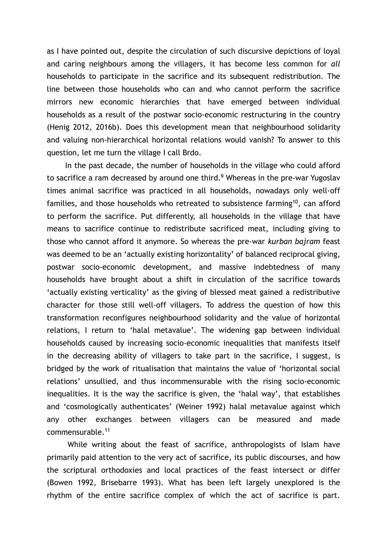as I have pointed out, despite the circulation of such discursive depictions of loyal and caring neighbours among the villagers, it has become less common for *all* households to participate in the sacrifice and its subsequent redistribution. The line between those households who can and who cannot perform the sacrifice mirrors new economic hierarchies that have emerged between individual households as a result of the postwar socio-economic restructuring in the country (Henig 2012, 2016b). Does this development mean that neighbourhood solidarity and valuing non-hierarchical horizontal relations would vanish? To answer to this question, let me turn the village I call Brdo.

In the past decade, the number of households in the village who could afford to sacrifice a ram decreased by around one third.<sup>9</sup> Whereas in the pre-war Yugoslav times animal sacrifice was practiced in all households, nowadays only well-off families, and those households who retreated to subsistence farming<sup>10</sup>, can afford to perform the sacrifice. Put differently, all households in the village that have means to sacrifice continue to redistribute sacrificed meat, including giving to those who cannot afford it anymore. So whereas the pre-war *kurban bajram* feast was deemed to be an 'actually existing horizontality' of balanced reciprocal giving, postwar socio-economic development, and massive indebtedness of many households have brought about a shift in circulation of the sacrifice towards 'actually existing verticality' as the giving of blessed meat gained a redistributive character for those still well-off villagers. To address the question of how this transformation reconfigures neighbourhood solidarity and the value of horizontal relations, I return to 'halal metavalue'. The widening gap between individual households caused by increasing socio-economic inequalities that manifests itself in the decreasing ability of villagers to take part in the sacrifice, I suggest, is bridged by the work of ritualisation that maintains the value of 'horizontal social relations' unsullied, and thus incommensurable with the rising socio-economic inequalities. It is the way the sacrifice is given, the 'halal way', that establishes and 'cosmologically authenticates' (Weiner 1992) halal metavalue against which any other exchanges between villagers can be measured and made commensurable.<sup>11</sup>

 While writing about the feast of sacrifice, anthropologists of Islam have primarily paid attention to the very act of sacrifice, its public discourses, and how the scriptural orthodoxies and local practices of the feast intersect or differ (Bowen 1992, Brisebarre 1993). What has been left largely unexplored is the rhythm of the entire sacrifice complex of which the act of sacrifice is part.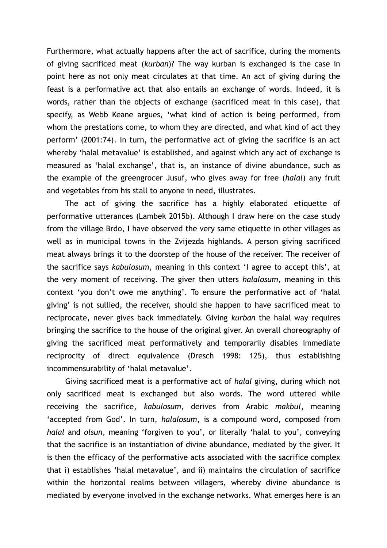Furthermore, what actually happens after the act of sacrifice, during the moments of giving sacrificed meat (*kurban*)? The way kurban is exchanged is the case in point here as not only meat circulates at that time. An act of giving during the feast is a performative act that also entails an exchange of words. Indeed, it is words, rather than the objects of exchange (sacrificed meat in this case), that specify, as Webb Keane argues, 'what kind of action is being performed, from whom the prestations come, to whom they are directed, and what kind of act they perform' (2001:74). In turn, the performative act of giving the sacrifice is an act whereby 'halal metavalue' is established, and against which any act of exchange is measured as 'halal exchange', that is, an instance of divine abundance, such as the example of the greengrocer Jusuf, who gives away for free (*halal*) any fruit and vegetables from his stall to anyone in need, illustrates.

The act of giving the sacrifice has a highly elaborated etiquette of performative utterances (Lambek 2015b). Although I draw here on the case study from the village Brdo, I have observed the very same etiquette in other villages as well as in municipal towns in the Zvijezda highlands. A person giving sacrificed meat always brings it to the doorstep of the house of the receiver. The receiver of the sacrifice says *kabulosum*, meaning in this context 'I agree to accept this', at the very moment of receiving. The giver then utters *halalosum*, meaning in this context 'you don't owe me anything'. To ensure the performative act of 'halal giving' is not sullied, the receiver, should she happen to have sacrificed meat to reciprocate, never gives back immediately. Giving *kurban* the halal way requires bringing the sacrifice to the house of the original giver. An overall choreography of giving the sacrificed meat performatively and temporarily disables immediate reciprocity of direct equivalence (Dresch 1998: 125), thus establishing incommensurability of 'halal metavalue'.

Giving sacrificed meat is a performative act of *halal* giving, during which not only sacrificed meat is exchanged but also words. The word uttered while receiving the sacrifice, *kabulosum*, derives from Arabic *makbul*, meaning 'accepted from God'. In turn, *halalosum*, is a compound word, composed from *halal* and *olsun*, meaning 'forgiven to you', or literally 'halal to you', conveying that the sacrifice is an instantiation of divine abundance, mediated by the giver. It is then the efficacy of the performative acts associated with the sacrifice complex that i) establishes 'halal metavalue', and ii) maintains the circulation of sacrifice within the horizontal realms between villagers, whereby divine abundance is mediated by everyone involved in the exchange networks. What emerges here is an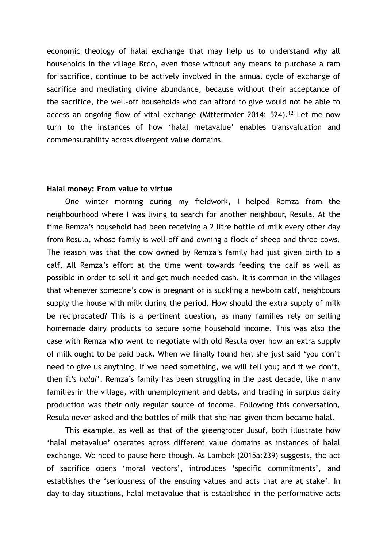economic theology of halal exchange that may help us to understand why all households in the village Brdo, even those without any means to purchase a ram for sacrifice, continue to be actively involved in the annual cycle of exchange of sacrifice and mediating divine abundance, because without their acceptance of the sacrifice, the well-off households who can afford to give would not be able to access an ongoing flow of vital exchange (Mittermaier 2014: 524).<sup>12</sup> Let me now turn to the instances of how 'halal metavalue' enables transvaluation and commensurability across divergent value domains.

#### **Halal money: From value to virtue**

One winter morning during my fieldwork, I helped Remza from the neighbourhood where I was living to search for another neighbour, Resula. At the time Remza's household had been receiving a 2 litre bottle of milk every other day from Resula, whose family is well-off and owning a flock of sheep and three cows. The reason was that the cow owned by Remza's family had just given birth to a calf. All Remza's effort at the time went towards feeding the calf as well as possible in order to sell it and get much-needed cash. It is common in the villages that whenever someone's cow is pregnant or is suckling a newborn calf, neighbours supply the house with milk during the period. How should the extra supply of milk be reciprocated? This is a pertinent question, as many families rely on selling homemade dairy products to secure some household income. This was also the case with Remza who went to negotiate with old Resula over how an extra supply of milk ought to be paid back. When we finally found her, she just said 'you don't need to give us anything. If we need something, we will tell you; and if we don't, then it's *halal*'. Remza's family has been struggling in the past decade, like many families in the village, with unemployment and debts, and trading in surplus dairy production was their only regular source of income. Following this conversation, Resula never asked and the bottles of milk that she had given them became halal.

This example, as well as that of the greengrocer Jusuf, both illustrate how 'halal metavalue' operates across different value domains as instances of halal exchange. We need to pause here though. As Lambek (2015a:239) suggests, the act of sacrifice opens 'moral vectors', introduces 'specific commitments', and establishes the 'seriousness of the ensuing values and acts that are at stake'. In day-to-day situations, halal metavalue that is established in the performative acts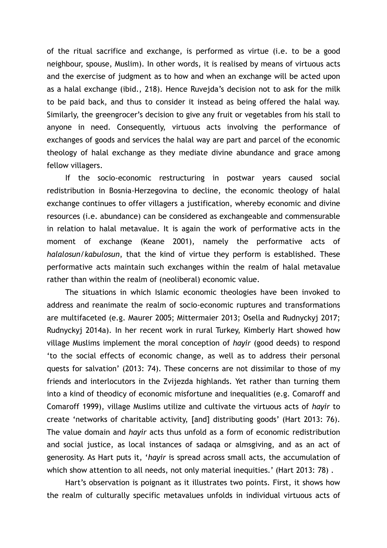of the ritual sacrifice and exchange, is performed as virtue (i.e. to be a good neighbour, spouse, Muslim). In other words, it is realised by means of virtuous acts and the exercise of judgment as to how and when an exchange will be acted upon as a halal exchange (ibid., 218). Hence Ruvejda's decision not to ask for the milk to be paid back, and thus to consider it instead as being offered the halal way. Similarly, the greengrocer's decision to give any fruit or vegetables from his stall to anyone in need. Consequently, virtuous acts involving the performance of exchanges of goods and services the halal way are part and parcel of the economic theology of halal exchange as they mediate divine abundance and grace among fellow villagers.

If the socio-economic restructuring in postwar years caused social redistribution in Bosnia-Herzegovina to decline, the economic theology of halal exchange continues to offer villagers a justification, whereby economic and divine resources (i.e. abundance) can be considered as exchangeable and commensurable in relation to halal metavalue. It is again the work of performative acts in the moment of exchange (Keane 2001), namely the performative acts of *halalosun*/*kabulosun*, that the kind of virtue they perform is established. These performative acts maintain such exchanges within the realm of halal metavalue rather than within the realm of (neoliberal) economic value.

The situations in which Islamic economic theologies have been invoked to address and reanimate the realm of socio-economic ruptures and transformations are multifaceted (e.g. Maurer 2005; Mittermaier 2013; Osella and Rudnyckyj 2017; Rudnyckyj 2014a). In her recent work in rural Turkey, Kimberly Hart showed how village Muslims implement the moral conception of *hayir* (good deeds) to respond 'to the social effects of economic change, as well as to address their personal quests for salvation' (2013: 74). These concerns are not dissimilar to those of my friends and interlocutors in the Zvijezda highlands. Yet rather than turning them into a kind of theodicy of economic misfortune and inequalities (e.g. Comaroff and Comaroff 1999), village Muslims utilize and cultivate the virtuous acts of *hayir* to create 'networks of charitable activity, [and] distributing goods' (Hart 2013: 76). The value domain and *hayir* acts thus unfold as a form of economic redistribution and social justice, as local instances of sadaqa or almsgiving, and as an act of generosity. As Hart puts it, '*hayir* is spread across small acts, the accumulation of which show attention to all needs, not only material inequities.' (Hart 2013: 78).

Hart's observation is poignant as it illustrates two points. First, it shows how the realm of culturally specific metavalues unfolds in individual virtuous acts of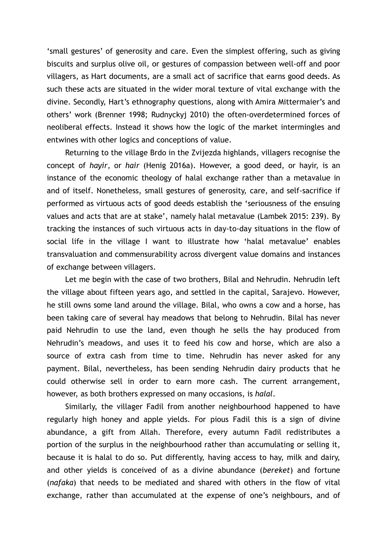'small gestures' of generosity and care. Even the simplest offering, such as giving biscuits and surplus olive oil, or gestures of compassion between well-off and poor villagers, as Hart documents, are a small act of sacrifice that earns good deeds. As such these acts are situated in the wider moral texture of vital exchange with the divine. Secondly, Hart's ethnography questions, along with Amira Mittermaier's and others' work (Brenner 1998; Rudnyckyj 2010) the often-overdetermined forces of neoliberal effects. Instead it shows how the logic of the market intermingles and entwines with other logics and conceptions of value.

Returning to the village Brdo in the Zvijezda highlands, villagers recognise the concept of *hayir*, or *hair* (Henig 2016a). However, a good deed, or hayir, is an instance of the economic theology of halal exchange rather than a metavalue in and of itself. Nonetheless, small gestures of generosity, care, and self-sacrifice if performed as virtuous acts of good deeds establish the 'seriousness of the ensuing values and acts that are at stake', namely halal metavalue (Lambek 2015: 239). By tracking the instances of such virtuous acts in day-to-day situations in the flow of social life in the village I want to illustrate how 'halal metavalue' enables transvaluation and commensurability across divergent value domains and instances of exchange between villagers.

Let me begin with the case of two brothers, Bilal and Nehrudin. Nehrudin left the village about fifteen years ago, and settled in the capital, Sarajevo. However, he still owns some land around the village. Bilal, who owns a cow and a horse, has been taking care of several hay meadows that belong to Nehrudin. Bilal has never paid Nehrudin to use the land, even though he sells the hay produced from Nehrudin's meadows, and uses it to feed his cow and horse, which are also a source of extra cash from time to time. Nehrudin has never asked for any payment. Bilal, nevertheless, has been sending Nehrudin dairy products that he could otherwise sell in order to earn more cash. The current arrangement, however, as both brothers expressed on many occasions, is *halal*.

Similarly, the villager Fadil from another neighbourhood happened to have regularly high honey and apple yields. For pious Fadil this is a sign of divine abundance, a gift from Allah. Therefore, every autumn Fadil redistributes a portion of the surplus in the neighbourhood rather than accumulating or selling it, because it is halal to do so. Put differently, having access to hay, milk and dairy, and other yields is conceived of as a divine abundance (*bereket*) and fortune (*nafaka*) that needs to be mediated and shared with others in the flow of vital exchange, rather than accumulated at the expense of one's neighbours, and of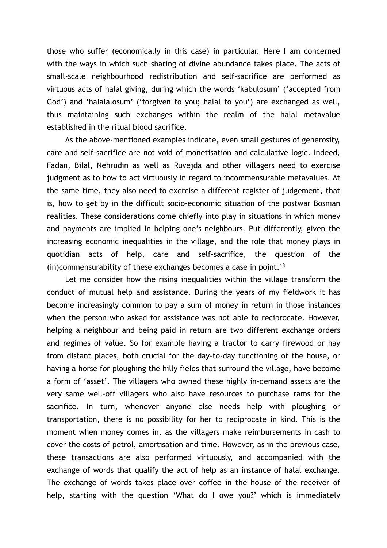those who suffer (economically in this case) in particular. Here I am concerned with the ways in which such sharing of divine abundance takes place. The acts of small-scale neighbourhood redistribution and self-sacrifice are performed as virtuous acts of halal giving, during which the words 'kabulosum' ('accepted from God') and 'halalalosum' ('forgiven to you; halal to you') are exchanged as well, thus maintaining such exchanges within the realm of the halal metavalue established in the ritual blood sacrifice.

As the above-mentioned examples indicate, even small gestures of generosity, care and self-sacrifice are not void of monetisation and calculative logic. Indeed, Fadan, Bilal, Nehrudin as well as Ruvejda and other villagers need to exercise judgment as to how to act virtuously in regard to incommensurable metavalues. At the same time, they also need to exercise a different register of judgement, that is, how to get by in the difficult socio-economic situation of the postwar Bosnian realities. These considerations come chiefly into play in situations in which money and payments are implied in helping one's neighbours. Put differently, given the increasing economic inequalities in the village, and the role that money plays in quotidian acts of help, care and self-sacrifice, the question of the (in)commensurability of these exchanges becomes a case in point.<sup>13</sup>

Let me consider how the rising inequalities within the village transform the conduct of mutual help and assistance. During the years of my fieldwork it has become increasingly common to pay a sum of money in return in those instances when the person who asked for assistance was not able to reciprocate. However, helping a neighbour and being paid in return are two different exchange orders and regimes of value. So for example having a tractor to carry firewood or hay from distant places, both crucial for the day-to-day functioning of the house, or having a horse for ploughing the hilly fields that surround the village, have become a form of 'asset'. The villagers who owned these highly in-demand assets are the very same well-off villagers who also have resources to purchase rams for the sacrifice. In turn, whenever anyone else needs help with ploughing or transportation, there is no possibility for her to reciprocate in kind. This is the moment when money comes in, as the villagers make reimbursements in cash to cover the costs of petrol, amortisation and time. However, as in the previous case, these transactions are also performed virtuously, and accompanied with the exchange of words that qualify the act of help as an instance of halal exchange. The exchange of words takes place over coffee in the house of the receiver of help, starting with the question 'What do I owe you?' which is immediately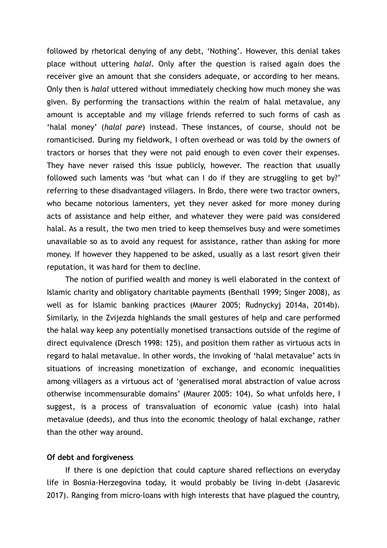followed by rhetorical denying of any debt, 'Nothing'. However, this denial takes place without uttering *halal*. Only after the question is raised again does the receiver give an amount that she considers adequate, or according to her means. Only then is *halal* uttered without immediately checking how much money she was given. By performing the transactions within the realm of halal metavalue, any amount is acceptable and my village friends referred to such forms of cash as 'halal money' (*halal pare*) instead. These instances, of course, should not be romanticised. During my fieldwork, I often overhead or was told by the owners of tractors or horses that they were not paid enough to even cover their expenses. They have never raised this issue publicly, however. The reaction that usually followed such laments was 'but what can I do if they are struggling to get by?' referring to these disadvantaged villagers. In Brdo, there were two tractor owners, who became notorious lamenters, yet they never asked for more money during acts of assistance and help either, and whatever they were paid was considered halal. As a result, the two men tried to keep themselves busy and were sometimes unavailable so as to avoid any request for assistance, rather than asking for more money. If however they happened to be asked, usually as a last resort given their reputation, it was hard for them to decline.

The notion of purified wealth and money is well elaborated in the context of Islamic charity and obligatory charitable payments (Benthall 1999; Singer 2008), as well as for Islamic banking practices (Maurer 2005; Rudnyckyj 2014a, 2014b). Similarly, in the Zvijezda highlands the small gestures of help and care performed the halal way keep any potentially monetised transactions outside of the regime of direct equivalence (Dresch 1998: 125), and position them rather as virtuous acts in regard to halal metavalue. In other words, the invoking of 'halal metavalue' acts in situations of increasing monetization of exchange, and economic inequalities among villagers as a virtuous act of 'generalised moral abstraction of value across otherwise incommensurable domains' (Maurer 2005: 104). So what unfolds here, I suggest, is a process of transvaluation of economic value (cash) into halal metavalue (deeds), and thus into the economic theology of halal exchange, rather than the other way around.

#### **Of debt and forgiveness**

If there is one depiction that could capture shared reflections on everyday life in Bosnia-Herzegovina today, it would probably be living in-debt (Jasarevic 2017). Ranging from micro-loans with high interests that have plagued the country,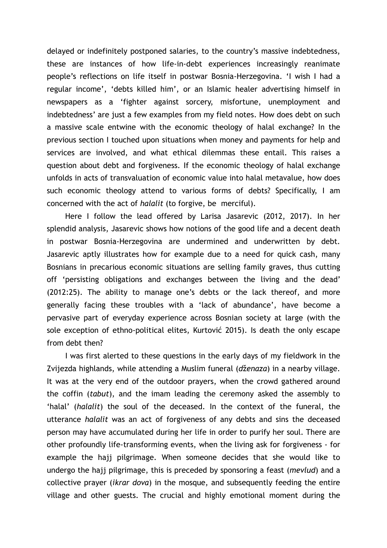delayed or indefinitely postponed salaries, to the country's massive indebtedness, these are instances of how life-in-debt experiences increasingly reanimate people's reflections on life itself in postwar Bosnia-Herzegovina. 'I wish I had a regular income', 'debts killed him', or an Islamic healer advertising himself in newspapers as a 'fighter against sorcery, misfortune, unemployment and indebtedness' are just a few examples from my field notes. How does debt on such a massive scale entwine with the economic theology of halal exchange? In the previous section I touched upon situations when money and payments for help and services are involved, and what ethical dilemmas these entail. This raises a question about debt and forgiveness. If the economic theology of halal exchange unfolds in acts of transvaluation of economic value into halal metavalue, how does such economic theology attend to various forms of debts? Specifically, I am concerned with the act of *halalit* (to forgive, be merciful).

Here I follow the lead offered by Larisa Jasarevic (2012, 2017). In her splendid analysis, Jasarevic shows how notions of the good life and a decent death in postwar Bosnia-Herzegovina are undermined and underwritten by debt. Jasarevic aptly illustrates how for example due to a need for quick cash, many Bosnians in precarious economic situations are selling family graves, thus cutting off 'persisting obligations and exchanges between the living and the dead' (2012:25). The ability to manage one's debts or the lack thereof, and more generally facing these troubles with a 'lack of abundance', have become a pervasive part of everyday experience across Bosnian society at large (with the sole exception of ethno-political elites, Kurtović 2015). Is death the only escape from debt then?

I was first alerted to these questions in the early days of my fieldwork in the Zvijezda highlands, while attending a Muslim funeral (*d*ž*enaza*) in a nearby village. It was at the very end of the outdoor prayers, when the crowd gathered around the coffin (*tabut*), and the imam leading the ceremony asked the assembly to 'halal' (*halalit*) the soul of the deceased. In the context of the funeral, the utterance *halalit* was an act of forgiveness of any debts and sins the deceased person may have accumulated during her life in order to purify her soul. There are other profoundly life-transforming events, when the living ask for forgiveness - for example the hajj pilgrimage. When someone decides that she would like to undergo the hajj pilgrimage, this is preceded by sponsoring a feast (*mevlud*) and a collective prayer (*ikrar dova*) in the mosque, and subsequently feeding the entire village and other guests. The crucial and highly emotional moment during the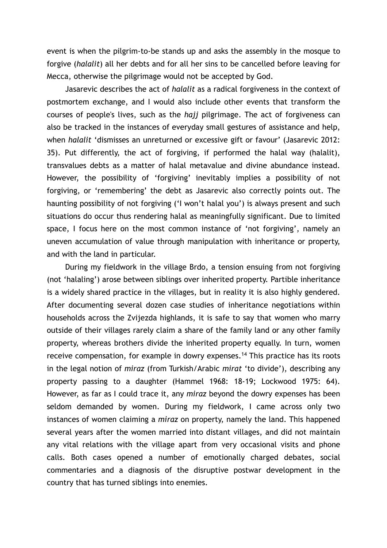event is when the pilgrim-to-be stands up and asks the assembly in the mosque to forgive (*halalit*) all her debts and for all her sins to be cancelled before leaving for Mecca, otherwise the pilgrimage would not be accepted by God.

Jasarevic describes the act of *halalit* as a radical forgiveness in the context of postmortem exchange, and I would also include other events that transform the courses of people's lives, such as the *hajj* pilgrimage. The act of forgiveness can also be tracked in the instances of everyday small gestures of assistance and help, when *halalit* 'dismisses an unreturned or excessive gift or favour' (Jasarevic 2012: 35). Put differently, the act of forgiving, if performed the halal way (halalit), transvalues debts as a matter of halal metavalue and divine abundance instead. However, the possibility of 'forgiving' inevitably implies a possibility of not forgiving, or 'remembering' the debt as Jasarevic also correctly points out. The haunting possibility of not forgiving ('I won't halal you') is always present and such situations do occur thus rendering halal as meaningfully significant. Due to limited space, I focus here on the most common instance of 'not forgiving', namely an uneven accumulation of value through manipulation with inheritance or property, and with the land in particular.

During my fieldwork in the village Brdo, a tension ensuing from not forgiving (not 'halaling') arose between siblings over inherited property. Partible inheritance is a widely shared practice in the villages, but in reality it is also highly gendered. After documenting several dozen case studies of inheritance negotiations within households across the Zvijezda highlands, it is safe to say that women who marry outside of their villages rarely claim a share of the family land or any other family property, whereas brothers divide the inherited property equally. In turn, women receive compensation, for example in dowry expenses.<sup>14</sup> This practice has its roots in the legal notion of *miraz* (from Turkish/Arabic *mirat* 'to divide'), describing any property passing to a daughter (Hammel 1968: 18-19; Lockwood 1975: 64). However, as far as I could trace it, any *miraz* beyond the dowry expenses has been seldom demanded by women. During my fieldwork, I came across only two instances of women claiming a *miraz* on property, namely the land. This happened several years after the women married into distant villages, and did not maintain any vital relations with the village apart from very occasional visits and phone calls. Both cases opened a number of emotionally charged debates, social commentaries and a diagnosis of the disruptive postwar development in the country that has turned siblings into enemies.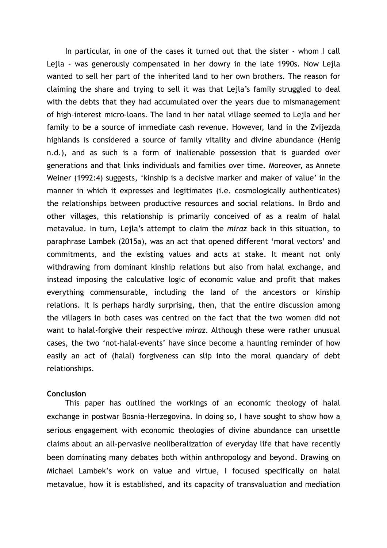In particular, in one of the cases it turned out that the sister - whom I call Lejla - was generously compensated in her dowry in the late 1990s. Now Lejla wanted to sell her part of the inherited land to her own brothers. The reason for claiming the share and trying to sell it was that Lejla's family struggled to deal with the debts that they had accumulated over the years due to mismanagement of high-interest micro-loans. The land in her natal village seemed to Lejla and her family to be a source of immediate cash revenue. However, land in the Zvijezda highlands is considered a source of family vitality and divine abundance (Henig n.d.), and as such is a form of inalienable possession that is guarded over generations and that links individuals and families over time. Moreover, as Annete Weiner (1992:4) suggests, 'kinship is a decisive marker and maker of value' in the manner in which it expresses and legitimates (i.e. cosmologically authenticates) the relationships between productive resources and social relations. In Brdo and other villages, this relationship is primarily conceived of as a realm of halal metavalue. In turn, Lejla's attempt to claim the *miraz* back in this situation, to paraphrase Lambek (2015a), was an act that opened different 'moral vectors' and commitments, and the existing values and acts at stake. It meant not only withdrawing from dominant kinship relations but also from halal exchange, and instead imposing the calculative logic of economic value and profit that makes everything commensurable, including the land of the ancestors or kinship relations. It is perhaps hardly surprising, then, that the entire discussion among the villagers in both cases was centred on the fact that the two women did not want to halal-forgive their respective *miraz*. Although these were rather unusual cases, the two 'not-halal-events' have since become a haunting reminder of how easily an act of (halal) forgiveness can slip into the moral quandary of debt relationships.

#### **Conclusion**

This paper has outlined the workings of an economic theology of halal exchange in postwar Bosnia-Herzegovina. In doing so, I have sought to show how a serious engagement with economic theologies of divine abundance can unsettle claims about an all-pervasive neoliberalization of everyday life that have recently been dominating many debates both within anthropology and beyond. Drawing on Michael Lambek's work on value and virtue, I focused specifically on halal metavalue, how it is established, and its capacity of transvaluation and mediation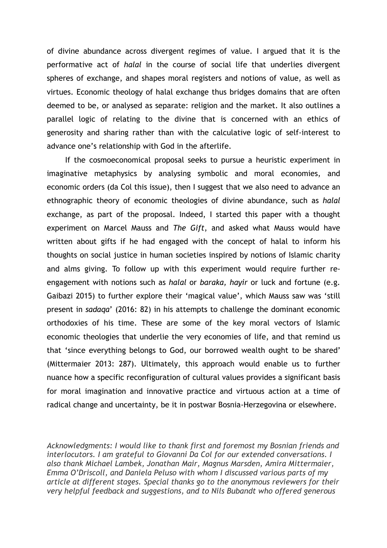of divine abundance across divergent regimes of value. I argued that it is the performative act of *halal* in the course of social life that underlies divergent spheres of exchange, and shapes moral registers and notions of value, as well as virtues. Economic theology of halal exchange thus bridges domains that are often deemed to be, or analysed as separate: religion and the market. It also outlines a parallel logic of relating to the divine that is concerned with an ethics of generosity and sharing rather than with the calculative logic of self-interest to advance one's relationship with God in the afterlife.

If the cosmoeconomical proposal seeks to pursue a heuristic experiment in imaginative metaphysics by analysing symbolic and moral economies, and economic orders (da Col this issue), then I suggest that we also need to advance an ethnographic theory of economic theologies of divine abundance, such as *halal* exchange, as part of the proposal. Indeed, I started this paper with a thought experiment on Marcel Mauss and *The Gift*, and asked what Mauss would have written about gifts if he had engaged with the concept of halal to inform his thoughts on social justice in human societies inspired by notions of Islamic charity and alms giving. To follow up with this experiment would require further reengagement with notions such as *halal* or *baraka, hayir* or luck and fortune (e.g. Gaibazi 2015) to further explore their 'magical value', which Mauss saw was 'still present in *sadaqa*' (2016: 82) in his attempts to challenge the dominant economic orthodoxies of his time. These are some of the key moral vectors of Islamic economic theologies that underlie the very economies of life, and that remind us that 'since everything belongs to God, our borrowed wealth ought to be shared' (Mittermaier 2013: 287). Ultimately, this approach would enable us to further nuance how a specific reconfiguration of cultural values provides a significant basis for moral imagination and innovative practice and virtuous action at a time of radical change and uncertainty, be it in postwar Bosnia-Herzegovina or elsewhere.

*Acknowledgments: I would like to thank first and foremost my Bosnian friends and interlocutors. I am grateful to Giovanni Da Col for our extended conversations. I also thank Michael Lambek, Jonathan Mair, Magnus Marsden, Amira Mittermaier, Emma O'Driscoll, and Daniela Peluso with whom I discussed various parts of my article at different stages. Special thanks go to the anonymous reviewers for their very helpful feedback and suggestions, and to Nils Bubandt who offered generous*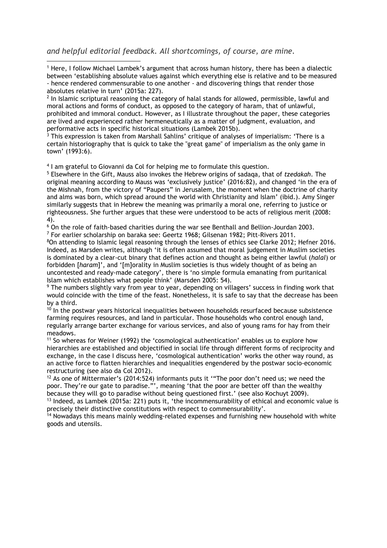*and helpful editorial feedback. All shortcomings, of course, are mine.*

 1 Here, I follow Michael Lambek's argument that across human history, there has been a dialectic between 'establishing absolute values against which everything else is relative and to be measured - hence rendered commensurable to one another - and discovering things that render those absolutes relative in turn' (2015a: 227).

 $^{\text{2}}$  In Islamic scriptural reasoning the category of halal stands for allowed, permissible, lawful and moral actions and forms of conduct, as opposed to the category of haram, that of unlawful, prohibited and immoral conduct. However, as I illustrate throughout the paper, these categories are lived and experienced rather hermeneutically as a matter of judgment, evaluation, and

performative acts in specific historical situations (Lambek 2015b).<br><sup>3</sup> This expression is taken from Marshall Sahlins' critique of analyses of imperialism: 'There is a certain historiography that is quick to take the "great game" of imperialism as the only game in town' (1993:6).

4 I am grateful to Giovanni da Col for helping me to formulate this question.

5 Elsewhere in the Gift, Mauss also invokes the Hebrew origins of sadaqa, that of *tzedakah*. The original meaning according to Mauss was 'exclusively justice' (2016:82), and changed 'in the era of the Mishnah, from the victory of "Paupers" in Jerusalem, the moment when the doctrine of charity and alms was born, which spread around the world with Christianity and Islam' (ibid.). Amy Singer similarly suggests that in Hebrew the meaning was primarily a moral one, referring to justice or righteousness. She further argues that these were understood to be acts of religious merit (2008: 4).

<sup>6</sup> On the role of faith-based charities during the war see Benthall and Bellion-Jourdan 2003. <sup>7</sup> For earlier scholarship on baraka see: Geertz 1968; Gilsenan 1982; Pitt-Rivers 2011.

<sup>8</sup>On attending to Islamic legal reasoning through the lenses of ethics see Clarke 2012; Hefner 2016. Indeed, as Marsden writes, although 'it is often assumed that moral judgement in Muslim societies is dominated by a clear-cut binary that defines action and thought as being either lawful (*halal*) or forbidden [*haram*]', and '[m]orality in Muslim societies is thus widely thought of as being an uncontested and ready-made category', there is 'no simple formula emanating from puritanical Islam which establishes what people think' (Marsden 2005: 54).

 $\rm ^9$  The numbers slightly vary from year to year, depending on villagers' success in finding work that would coincide with the time of the feast. Nonetheless, it is safe to say that the decrease has been by a third.

 $10$  In the postwar years historical inequalities between households resurfaced because subsistence farming requires resources, and land in particular. Those households who control enough land, regularly arrange barter exchange for various services, and also of young rams for hay from their meadows.

<sup>11</sup> So whereas for Weiner (1992) the 'cosmological authentication' enables us to explore how hierarchies are established and objectified in social life through different forms of reciprocity and exchange, in the case I discuss here, 'cosmological authentication' works the other way round, as an active force to flatten hierarchies and inequalities engendered by the postwar socio-economic restructuring (see also da Col 2012).

 $12$  As one of Mittermaier's (2014:524) informants puts it "The poor don't need us; we need the poor. They're our gate to paradise."', meaning 'that the poor are better off than the wealthy because they will go to paradise without being questioned first.' (see also Kochuyt 2009).

<sup>13</sup> Indeed, as Lambek (2015a: 221) puts it, 'the incommensurability of ethical and economic value is precisely their distinctive constitutions with respect to commensurability'.

<sup>14</sup> Nowadays this means mainly wedding-related expenses and furnishing new household with white goods and utensils.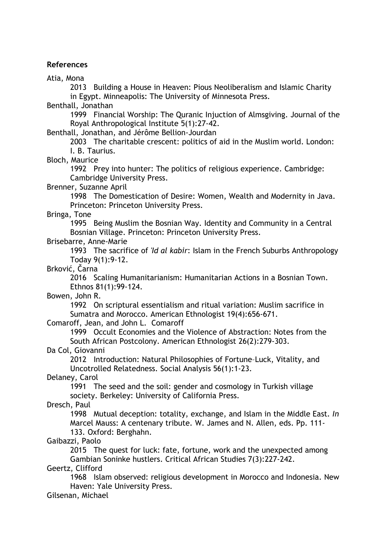#### **References**

Atia, Mona

 2013 Building a House in Heaven: Pious Neoliberalism and Islamic Charity in Egypt. Minneapolis: The University of Minnesota Press.

Benthall, Jonathan

 1999 Financial Worship: The Quranic Injuction of Almsgiving. Journal of the Royal Anthropological Institute 5(1):27-42.

Benthall, Jonathan, and Jérôme Bellion-Jourdan

 2003 The charitable crescent: politics of aid in the Muslim world. London: I. B. Taurius.

Bloch, Maurice

 1992 Prey into hunter: The politics of religious experience. Cambridge: Cambridge University Press.

Brenner, Suzanne April

 1998 The Domestication of Desire: Women, Wealth and Modernity in Java. Princeton: Princeton University Press.

Bringa, Tone

 1995 Being Muslim the Bosnian Way. Identity and Community in a Central Bosnian Village. Princeton: Princeton University Press.

#### Brisebarre, Anne-Marie

 1993 The sacrifice of *'Id al kabir*: Islam in the French Suburbs Anthropology Today 9(1):9-12.

Brković, Čarna

 2016 Scaling Humanitarianism: Humanitarian Actions in a Bosnian Town. Ethnos 81(1):99-124.

Bowen, John R.

 1992 On scriptural essentialism and ritual variation: Muslim sacrifice in Sumatra and Morocco. American Ethnologist 19(4):656-671.

Comaroff, Jean, and John L. Comaroff

 1999 Occult Economies and the Violence of Abstraction: Notes from the South African Postcolony. American Ethnologist 26(2):279-303.

Da Col, Giovanni

 2012 Introduction: Natural Philosophies of Fortune–Luck, Vitality, and Uncotrolled Relatedness. Social Analysis 56(1):1-23.

Delaney, Carol

 1991 The seed and the soil: gender and cosmology in Turkish village society. Berkeley: University of California Press.

Dresch, Paul

 1998 Mutual deception: totality, exchange, and Islam in the Middle East. *In* Marcel Mauss: A centenary tribute. W. James and N. Allen, eds. Pp. 111-

133. Oxford: Berghahn.

Gaibazzi, Paolo

 2015 The quest for luck: fate, fortune, work and the unexpected among Gambian Soninke hustlers. Critical African Studies 7(3):227-242.

Geertz, Clifford

 1968 Islam observed: religious development in Morocco and Indonesia. New Haven: Yale University Press.

Gilsenan, Michael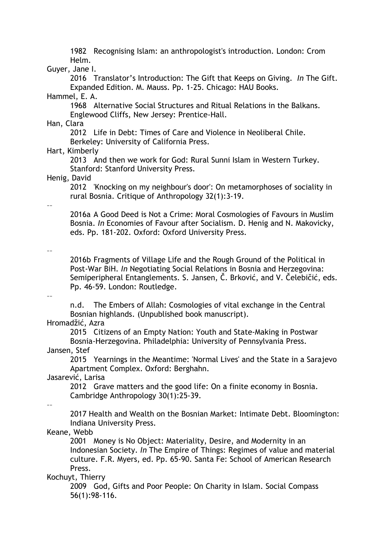1982 Recognising Islam: an anthropologist's introduction. London: Crom Helm.

# Guyer, Jane I.

 2016 Translator's Introduction: The Gift that Keeps on Giving. *In* The Gift. Expanded Edition. M. Mauss. Pp. 1-25. Chicago: HAU Books.

# Hammel, E. A.

 1968 Alternative Social Structures and Ritual Relations in the Balkans. Englewood Cliffs, New Jersey: Prentice-Hall.

#### Han, Clara

 2012 Life in Debt: Times of Care and Violence in Neoliberal Chile. Berkeley: University of California Press.

#### Hart, Kimberly

 2013 And then we work for God: Rural Sunni Islam in Western Turkey. Stanford: Stanford University Press.

#### Henig, David

 2012 'Knocking on my neighbour's door': On metamorphoses of sociality in rural Bosnia. Critique of Anthropology 32(1):3-19.

#### ––

 2016a A Good Deed is Not a Crime: Moral Cosmologies of Favours in Muslim Bosnia. *In* Economies of Favour after Socialism. D. Henig and N. Makovicky, eds. Pp. 181-202. Oxford: Oxford University Press.

#### ––

 2016b Fragments of Village Life and the Rough Ground of the Political in Post-War BiH. *In* Negotiating Social Relations in Bosnia and Herzegovina: Semiperipheral Entanglements. S. Jansen, Č. Brković, and V. Čelebičić, eds. Pp. 46-59. London: Routledge.

#### ––

 n.d. The Embers of Allah: Cosmologies of vital exchange in the Central Bosnian highlands. (Unpublished book manuscript).

# Hromadžić, Azra

 2015 Citizens of an Empty Nation: Youth and State-Making in Postwar Bosnia-Herzegovina. Philadelphia: University of Pennsylvania Press.

### Jansen, Stef

 2015 Yearnings in the Meantime: 'Normal Lives' and the State in a Sarajevo Apartment Complex. Oxford: Berghahn.

# Jasarević, Larisa

 2012 Grave matters and the good life: On a finite economy in Bosnia. Cambridge Anthropology 30(1):25-39.

––

 2017 Health and Wealth on the Bosnian Market: Intimate Debt. Bloomington: Indiana University Press.

# Keane, Webb

 2001 Money is No Object: Materiality, Desire, and Modernity in an Indonesian Society. *In* The Empire of Things: Regimes of value and material culture. F.R. Myers, ed. Pp. 65-90. Santa Fe: School of American Research Press.

# Kochuyt, Thierry

 2009 God, Gifts and Poor People: On Charity in Islam. Social Compass 56(1):98-116.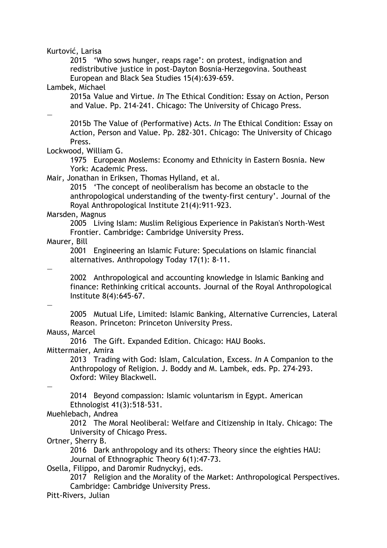Kurtović, Larisa

 2015 'Who sows hunger, reaps rage': on protest, indignation and redistributive justice in post-Dayton Bosnia-Herzegovina. Southeast European and Black Sea Studies 15(4):639-659.

Lambek, Michael

 2015a Value and Virtue. *In* The Ethical Condition: Essay on Action, Person and Value. Pp. 214-241. Chicago: The University of Chicago Press.

—

 2015b The Value of (Performative) Acts. *In* The Ethical Condition: Essay on Action, Person and Value. Pp. 282-301. Chicago: The University of Chicago Press.

Lockwood, William G.

 1975 European Moslems: Economy and Ethnicity in Eastern Bosnia. New York: Academic Press.

Mair, Jonathan in Eriksen, Thomas Hylland, et al.

 2015 'The concept of neoliberalism has become an obstacle to the anthropological understanding of the twenty-first century'. Journal of the Royal Anthropological Institute 21(4):911-923.

#### Marsden, Magnus

 2005 Living Islam: Muslim Religious Experience in Pakistan's North-West Frontier. Cambridge: Cambridge University Press.

Maurer, Bill

 2001 Engineering an Islamic Future: Speculations on Islamic financial alternatives. Anthropology Today 17(1): 8-11.

—

 2002 Anthropological and accounting knowledge in Islamic Banking and finance: Rethinking critical accounts. Journal of the Royal Anthropological Institute 8(4):645-67.

—

 2005 Mutual Life, Limited: Islamic Banking, Alternative Currencies, Lateral Reason. Princeton: Princeton University Press.

# Mauss, Marcel

2016 The Gift. Expanded Edition. Chicago: HAU Books.

Mittermaier, Amira

 2013 Trading with God: Islam, Calculation, Excess. *In* A Companion to the Anthropology of Religion. J. Boddy and M. Lambek, eds. Pp. 274-293. Oxford: Wiley Blackwell.

—

 2014 Beyond compassion: Islamic voluntarism in Egypt. American Ethnologist 41(3):518-531.

Muehlebach, Andrea

 2012 The Moral Neoliberal: Welfare and Citizenship in Italy. Chicago: The University of Chicago Press.

Ortner, Sherry B.

 2016 Dark anthropology and its others: Theory since the eighties HAU: Journal of Ethnographic Theory 6(1):47-73.

Osella, Filippo, and Daromir Rudnyckyj, eds.

 2017 Religion and the Morality of the Market: Anthropological Perspectives. Cambridge: Cambridge University Press.

Pitt-Rivers, Julian